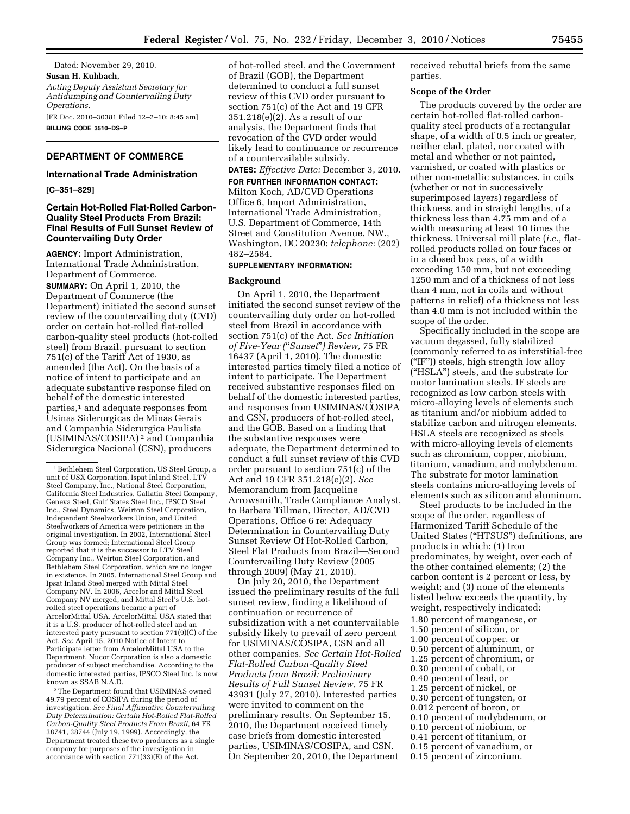Dated: November 29, 2010. **Susan H. Kuhbach,**  *Acting Deputy Assistant Secretary for Antidumping and Countervailing Duty Operations.*  [FR Doc. 2010–30381 Filed 12–2–10; 8:45 am] **BILLING CODE 3510–DS–P** 

# **DEPARTMENT OF COMMERCE**

## **International Trade Administration**

**[C–351–829]** 

## **Certain Hot-Rolled Flat-Rolled Carbon-Quality Steel Products From Brazil: Final Results of Full Sunset Review of Countervailing Duty Order**

**AGENCY:** Import Administration, International Trade Administration, Department of Commerce. **SUMMARY:** On April 1, 2010, the Department of Commerce (the Department) initiated the second sunset review of the countervailing duty (CVD) order on certain hot-rolled flat-rolled carbon-quality steel products (hot-rolled steel) from Brazil, pursuant to section 751(c) of the Tariff Act of 1930, as amended (the Act). On the basis of a notice of intent to participate and an adequate substantive response filed on behalf of the domestic interested parties,<sup>1</sup> and adequate responses from Usinas Siderurgicas de Minas Gerais and Companhia Siderurgica Paulista (USIMINAS/COSIPA) 2 and Companhia Siderurgica Nacional (CSN), producers

2The Department found that USIMINAS owned 49.79 percent of COSIPA during the period of investigation. *See Final Affirmative Countervailing Duty Determination: Certain Hot-Rolled Flat-Rolled Carbon-Quality Steel Products From Brazil,* 64 FR 38741, 38744 (July 19, 1999). Accordingly, the Department treated these two producers as a single company for purposes of the investigation in accordance with section 771(33)(E) of the Act.

of hot-rolled steel, and the Government of Brazil (GOB), the Department determined to conduct a full sunset review of this CVD order pursuant to section 751(c) of the Act and 19 CFR 351.218(e)(2). As a result of our analysis, the Department finds that revocation of the CVD order would likely lead to continuance or recurrence of a countervailable subsidy.

**DATES:** *Effective Date:* December 3, 2010. **FOR FURTHER INFORMATION CONTACT:**  Milton Koch, AD/CVD Operations Office 6, Import Administration, International Trade Administration, U.S. Department of Commerce, 14th Street and Constitution Avenue, NW., Washington, DC 20230; *telephone:* (202) 482–2584.

## **SUPPLEMENTARY INFORMATION:**

#### **Background**

On April 1, 2010, the Department initiated the second sunset review of the countervailing duty order on hot-rolled steel from Brazil in accordance with section 751(c) of the Act. *See Initiation of Five-Year (*''*Sunset*''*) Review,* 75 FR 16437 (April 1, 2010). The domestic interested parties timely filed a notice of intent to participate. The Department received substantive responses filed on behalf of the domestic interested parties, and responses from USIMINAS/COSIPA and CSN, producers of hot-rolled steel, and the GOB. Based on a finding that the substantive responses were adequate, the Department determined to conduct a full sunset review of this CVD order pursuant to section 751(c) of the Act and 19 CFR 351.218(e)(2). *See*  Memorandum from Jacqueline Arrowsmith, Trade Compliance Analyst, to Barbara Tillman, Director, AD/CVD Operations, Office 6 re: Adequacy Determination in Countervailing Duty Sunset Review Of Hot-Rolled Carbon, Steel Flat Products from Brazil—Second Countervailing Duty Review (2005 through 2009) (May 21, 2010).

On July 20, 2010, the Department issued the preliminary results of the full sunset review, finding a likelihood of continuation or recurrence of subsidization with a net countervailable subsidy likely to prevail of zero percent for USIMINAS/COSIPA, CSN and all other companies. *See Certain Hot-Rolled Flat-Rolled Carbon-Quality Steel Products from Brazil: Preliminary Results of Full Sunset Review,* 75 FR 43931 (July 27, 2010). Interested parties were invited to comment on the preliminary results. On September 15, 2010, the Department received timely case briefs from domestic interested parties, USIMINAS/COSIPA, and CSN. On September 20, 2010, the Department

received rebuttal briefs from the same parties.

### **Scope of the Order**

The products covered by the order are certain hot-rolled flat-rolled carbonquality steel products of a rectangular shape, of a width of 0.5 inch or greater, neither clad, plated, nor coated with metal and whether or not painted, varnished, or coated with plastics or other non-metallic substances, in coils (whether or not in successively superimposed layers) regardless of thickness, and in straight lengths, of a thickness less than 4.75 mm and of a width measuring at least 10 times the thickness. Universal mill plate (*i.e.,* flatrolled products rolled on four faces or in a closed box pass, of a width exceeding 150 mm, but not exceeding 1250 mm and of a thickness of not less than 4 mm, not in coils and without patterns in relief) of a thickness not less than 4.0 mm is not included within the scope of the order.

Specifically included in the scope are vacuum degassed, fully stabilized (commonly referred to as interstitial-free (''IF'')) steels, high strength low alloy (''HSLA'') steels, and the substrate for motor lamination steels. IF steels are recognized as low carbon steels with micro-alloying levels of elements such as titanium and/or niobium added to stabilize carbon and nitrogen elements. HSLA steels are recognized as steels with micro-alloying levels of elements such as chromium, copper, niobium, titanium, vanadium, and molybdenum. The substrate for motor lamination steels contains micro-alloying levels of elements such as silicon and aluminum.

Steel products to be included in the scope of the order, regardless of Harmonized Tariff Schedule of the United States (''HTSUS'') definitions, are products in which: (1) Iron predominates, by weight, over each of the other contained elements; (2) the carbon content is 2 percent or less, by weight; and (3) none of the elements listed below exceeds the quantity, by weight, respectively indicated: 1.80 percent of manganese, or 1.50 percent of silicon, or 1.00 percent of copper, or 0.50 percent of aluminum, or 1.25 percent of chromium, or 0.30 percent of cobalt, or 0.40 percent of lead, or 1.25 percent of nickel, or 0.30 percent of tungsten, or 0.012 percent of boron, or 0.10 percent of molybdenum, or 0.10 percent of niobium, or 0.41 percent of titanium, or 0.15 percent of vanadium, or

0.15 percent of zirconium.

<sup>1</sup>Bethlehem Steel Corporation, US Steel Group, a unit of USX Corporation, Ispat Inland Steel, LTV Steel Company, Inc., National Steel Corporation, California Steel Industries, Gallatin Steel Company, Geneva Steel, Gulf States Steel Inc., IPSCO Steel Inc., Steel Dynamics, Weirton Steel Corporation, Independent Steelworkers Union, and United Steelworkers of America were petitioners in the original investigation. In 2002, International Steel Group was formed; International Steel Group reported that it is the successor to LTV Steel Company Inc., Weirton Steel Corporation, and Bethlehem Steel Corporation, which are no longer in existence. In 2005, International Steel Group and Ipsat Inland Steel merged with Mittal Steel Company NV. In 2006, Arcelor and Mittal Steel Company NV merged, and Mittal Steel's U.S. hotrolled steel operations became a part of ArcelorMittal USA. ArcelorMittal USA stated that it is a U.S. producer of hot-rolled steel and an interested party pursuant to section 771(9)(C) of the Act. *See* April 15, 2010 Notice of Intent to Participate letter from ArcelorMittal USA to the Department. Nucor Corporation is also a domestic producer of subject merchandise. According to the domestic interested parties, IPSCO Steel Inc. is now known as SSAB N.A.D.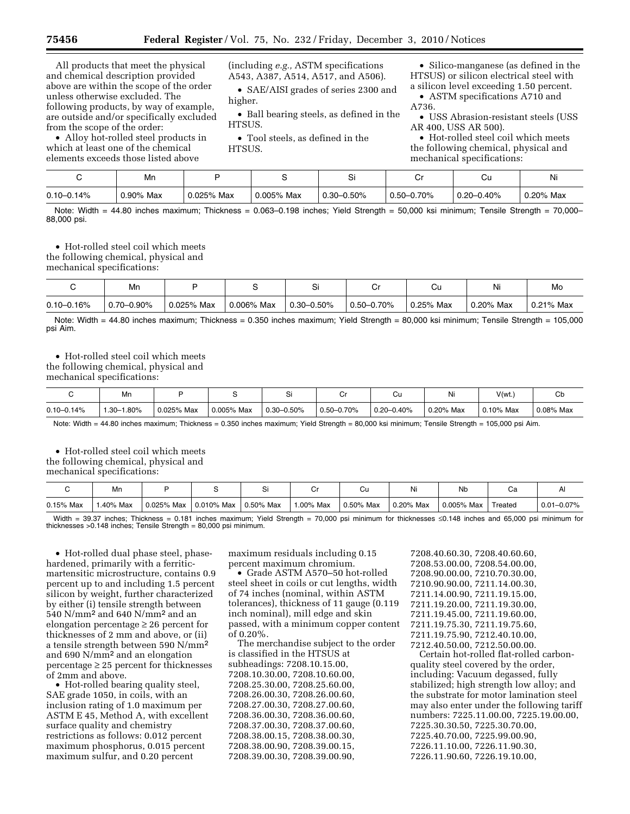All products that meet the physical and chemical description provided above are within the scope of the order unless otherwise excluded. The following products, by way of example, are outside and/or specifically excluded from the scope of the order:

• Alloy hot-rolled steel products in which at least one of the chemical elements exceeds those listed above

(including *e.g.,* ASTM specifications A543, A387, A514, A517, and A506).

• SAE/AISI grades of series 2300 and higher.

• Ball bearing steels, as defined in the HTSUS.

• Tool steels, as defined in the HTSUS.

• Silico-manganese (as defined in the HTSUS) or silicon electrical steel with a silicon level exceeding 1.50 percent.

• ASTM specifications A710 and A736.

• USS Abrasion-resistant steels (USS AR 400, USS AR 500).

• Hot-rolled steel coil which meets the following chemical, physical and mechanical specifications:

|                | Mn        |            |            | $\overline{\phantom{0}}$ | ◡               | Ψu             | Ni        |
|----------------|-----------|------------|------------|--------------------------|-----------------|----------------|-----------|
| $0.10 - 0.14%$ | 0.90% Max | 0.025% Max | 0.005% Max | $^{\circ}$ 0.30–0.50%    | $0.50 - 0.70\%$ | $0.20 - 0.40%$ | 0.20% Max |

Note: Width = 44.80 inches maximum; Thickness = 0.063–0.198 inches; Yield Strength = 50,000 ksi minimum; Tensile Strength = 70,000– 88,000 psi.

• Hot-rolled steel coil which meets the following chemical, physical and mechanical specifications:

|                | Mn              |            |            | ات                |                 | Cι        | Ni        | Mo        |
|----------------|-----------------|------------|------------|-------------------|-----------------|-----------|-----------|-----------|
| $0.10 - 0.16%$ | $0.70 - 0.90\%$ | 0.025% Max | 0.006% Max | $^{+}$ 0.30–0.50% | $0.50 - 0.70\%$ | 0.25% Max | 0.20% Max | 0.21% Max |

Note: Width = 44.80 inches maximum; Thickness = 0.350 inches maximum; Yield Strength = 80,000 ksi minimum; Tensile Strength = 105,000 psi Aim.

• Hot-rolled steel coil which meets

the following chemical, physical and

mechanical specifications:

|                | Mn               |            |            |                 |                 | Ψu             |           | V(wt.        | ◡         |
|----------------|------------------|------------|------------|-----------------|-----------------|----------------|-----------|--------------|-----------|
| $0.10 - 0.14%$ | 1.80%<br>$.30 -$ | 0.025% Max | 0.005% Max | $0.30 - 0.50\%$ | $0.50 - 0.70\%$ | $0.20 - 0.40%$ | 0.20% Max | $0.10\%$ Max | 0.08% Max |

Note: Width = 44.80 inches maximum; Thickness = 0.350 inches maximum; Yield Strength = 80,000 ksi minimum; Tensile Strength = 105,000 psi Aim.

• Hot-rolled steel coil which meets the following chemical, physical and mechanical specifications:

|             | IVII.    |            |            |              |              | Uu        | .<br>Νı   | Nb            | Ψa      |                 |
|-------------|----------|------------|------------|--------------|--------------|-----------|-----------|---------------|---------|-----------------|
| $0.15%$ Max | .40% Max | 0.025% Max | 0.010% Max | $0.50\%$ Max | $1.00\%$ Max | 0.50% Max | 0.20% Max | $0.005\%$ Max | Treated | $0.01 - 0.07\%$ |

Width = 39.37 inches; Thickness = 0.181 inches maximum; Yield Strength = 70,000 psi minimum for thicknesses ≤0.148 inches and 65,000 psi minimum for thicknesses >0.148 inches; Tensile Strength = 80,000 psi minimum.

• Hot-rolled dual phase steel, phasehardened, primarily with a ferriticmartensitic microstructure, contains 0.9 percent up to and including 1.5 percent silicon by weight, further characterized by either (i) tensile strength between 540 N/mm<sup>2</sup> and 640 N/mm<sup>2</sup> and an elongation percentage ≥ 26 percent for thicknesses of 2 mm and above, or (ii) a tensile strength between 590 N/mm<sup>2</sup> and 690 N/mm<sup>2</sup> and an elongation  $percentage \geq 25$  percent for thicknesses of 2mm and above.

• Hot-rolled bearing quality steel, SAE grade 1050, in coils, with an inclusion rating of 1.0 maximum per ASTM E 45, Method A, with excellent surface quality and chemistry restrictions as follows: 0.012 percent maximum phosphorus, 0.015 percent maximum sulfur, and 0.20 percent

maximum residuals including 0.15 percent maximum chromium.

• Grade ASTM A570–50 hot-rolled steel sheet in coils or cut lengths, width of 74 inches (nominal, within ASTM tolerances), thickness of 11 gauge (0.119 inch nominal), mill edge and skin passed, with a minimum copper content of 0.20%.

The merchandise subject to the order is classified in the HTSUS at subheadings: 7208.10.15.00, 7208.10.30.00, 7208.10.60.00, 7208.25.30.00, 7208.25.60.00, 7208.26.00.30, 7208.26.00.60, 7208.27.00.30, 7208.27.00.60, 7208.36.00.30, 7208.36.00.60, 7208.37.00.30, 7208.37.00.60, 7208.38.00.15, 7208.38.00.30, 7208.38.00.90, 7208.39.00.15, 7208.39.00.30, 7208.39.00.90,

7208.40.60.30, 7208.40.60.60, 7208.53.00.00, 7208.54.00.00, 7208.90.00.00, 7210.70.30.00, 7210.90.90.00, 7211.14.00.30, 7211.14.00.90, 7211.19.15.00, 7211.19.20.00, 7211.19.30.00, 7211.19.45.00, 7211.19.60.00, 7211.19.75.30, 7211.19.75.60, 7211.19.75.90, 7212.40.10.00, 7212.40.50.00, 7212.50.00.00.

Certain hot-rolled flat-rolled carbonquality steel covered by the order, including: Vacuum degassed, fully stabilized; high strength low alloy; and the substrate for motor lamination steel may also enter under the following tariff numbers: 7225.11.00.00, 7225.19.00.00, 7225.30.30.50, 7225.30.70.00, 7225.40.70.00, 7225.99.00.90, 7226.11.10.00, 7226.11.90.30, 7226.11.90.60, 7226.19.10.00,